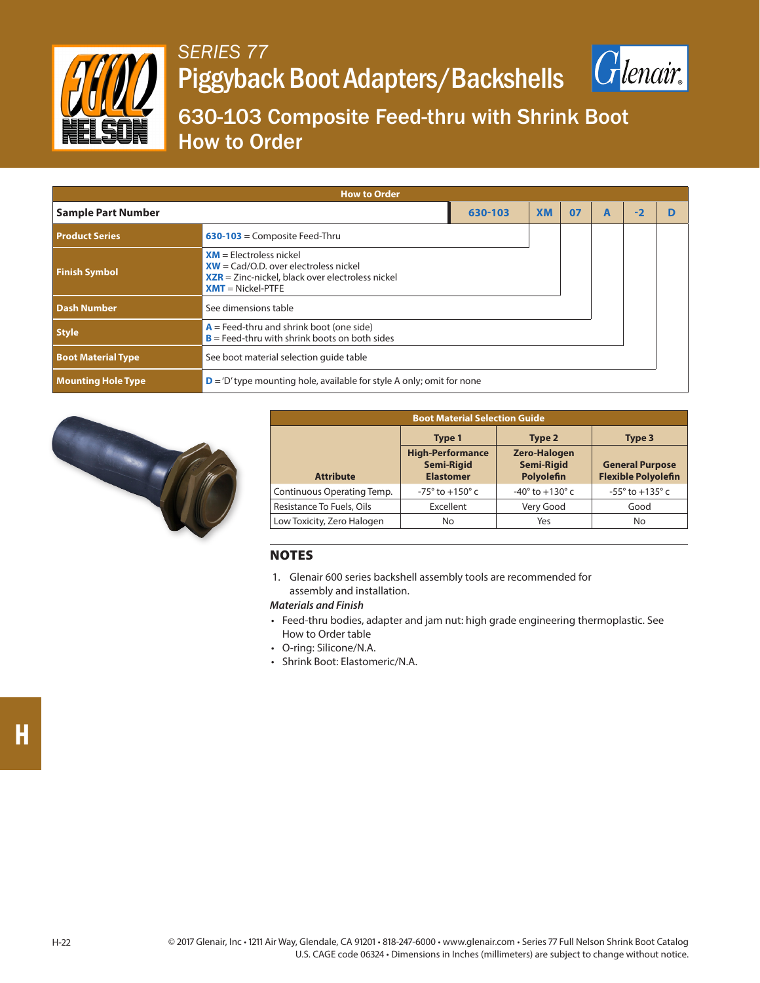

## *SERIES 77* Piggyback Boot Adapters/Backshells



630-103 Composite Feed-thru with Shrink Boot How to Order

| <b>How to Order</b>       |                                                                                                                                                  |           |    |   |     |  |  |  |  |
|---------------------------|--------------------------------------------------------------------------------------------------------------------------------------------------|-----------|----|---|-----|--|--|--|--|
| <b>Sample Part Number</b> | 630-103                                                                                                                                          | <b>XM</b> | 07 | A | - 2 |  |  |  |  |
| <b>Product Series</b>     | $630-103$ = Composite Feed-Thru                                                                                                                  |           |    |   |     |  |  |  |  |
| <b>Finish Symbol</b>      | $XM = Electroles$<br>$XW = \text{Cad/O.D. over electrodes nickel}$<br>$XZR = Zinc-nickel$ , black over electroless nickel<br>$XMT = Nickel-PTFE$ |           |    |   |     |  |  |  |  |
| <b>Dash Number</b>        | See dimensions table                                                                                                                             |           |    |   |     |  |  |  |  |
| <b>Style</b>              | $A =$ Feed-thru and shrink boot (one side)<br>$B =$ Feed-thru with shrink boots on both sides                                                    |           |    |   |     |  |  |  |  |
| <b>Boot Material Type</b> | See boot material selection quide table                                                                                                          |           |    |   |     |  |  |  |  |
| <b>Mounting Hole Type</b> | $\mathbf{D}$ = 'D' type mounting hole, available for style A only; omit for none                                                                 |           |    |   |     |  |  |  |  |



| <b>Boot Material Selection Guide</b> |                                                                  |                                                        |                                                      |  |  |
|--------------------------------------|------------------------------------------------------------------|--------------------------------------------------------|------------------------------------------------------|--|--|
|                                      | Type 1                                                           | Type 2                                                 | Type 3                                               |  |  |
| <b>Attribute</b>                     | <b>High-Performance</b><br><b>Semi-Rigid</b><br><b>Elastomer</b> | <b>Zero-Halogen</b><br><b>Semi-Rigid</b><br>Polyolefin | <b>General Purpose</b><br><b>Flexible Polyolefin</b> |  |  |
| Continuous Operating Temp.           | $-75^{\circ}$ to $+150^{\circ}$ c                                | $-40^{\circ}$ to $+130^{\circ}$ c                      | $-55^{\circ}$ to $+135^{\circ}$ c                    |  |  |
| Resistance To Fuels, Oils            | Excellent                                                        | Very Good                                              | Good                                                 |  |  |
| Low Toxicity, Zero Halogen           | No                                                               | Yes                                                    | No                                                   |  |  |

## **NOTES**

1. Glenair 600 series backshell assembly tools are recommended for assembly and installation.

## *Materials and Finish*

- Feed-thru bodies, adapter and jam nut: high grade engineering thermoplastic. See How to Order table
- O-ring: Silicone/N.A.
- Shrink Boot: Elastomeric/N.A.